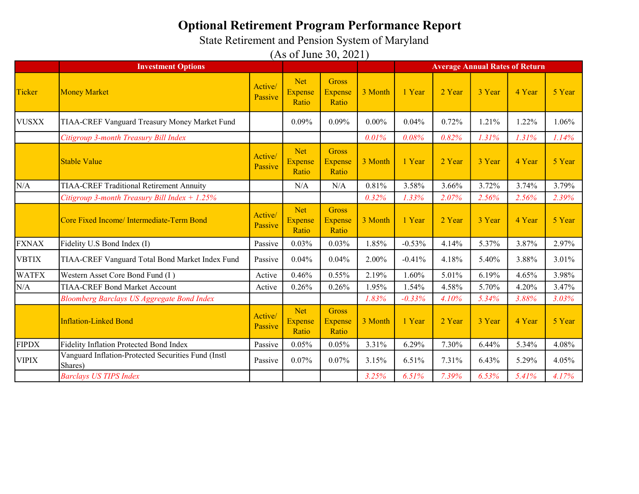State Retirement and Pension System of Maryland

|              | <b>Investment Options</b>                                      |                    |                                       |                                         | <b>Average Annual Rates of Return</b> |          |        |        |        |        |
|--------------|----------------------------------------------------------------|--------------------|---------------------------------------|-----------------------------------------|---------------------------------------|----------|--------|--------|--------|--------|
| Ticker       | <b>Money Market</b>                                            | Active/<br>Passive | <b>Net</b><br><b>Expense</b><br>Ratio | <b>Gross</b><br><b>Expense</b><br>Ratio | 3 Month                               | 1 Year   | 2 Year | 3 Year | 4 Year | 5 Year |
| <b>VUSXX</b> | TIAA-CREF Vanguard Treasury Money Market Fund                  |                    | 0.09%                                 | 0.09%                                   | $0.00\%$                              | 0.04%    | 0.72%  | 1.21%  | 1.22%  | 1.06%  |
|              | Citigroup 3-month Treasury Bill Index                          |                    |                                       |                                         | 0.01%                                 | 0.08%    | 0.82%  | 1.31%  | 1.31%  | 1.14%  |
|              | <b>Stable Value</b>                                            | Active/<br>Passive | <b>Net</b><br><b>Expense</b><br>Ratio | <b>Gross</b><br><b>Expense</b><br>Ratio | 3 Month                               | 1 Year   | 2 Year | 3 Year | 4 Year | 5 Year |
| N/A          | <b>TIAA-CREF Traditional Retirement Annuity</b>                |                    | N/A                                   | N/A                                     | 0.81%                                 | 3.58%    | 3.66%  | 3.72%  | 3.74%  | 3.79%  |
|              | Citigroup 3-month Treasury Bill Index $+ 1.25\%$               |                    |                                       |                                         | 0.32%                                 | 1.33%    | 2.07%  | 2.56%  | 2.56%  | 2.39%  |
|              | Core Fixed Income/ Intermediate-Term Bond                      | Active/<br>Passive | <b>Net</b><br><b>Expense</b><br>Ratio | <b>Gross</b><br><b>Expense</b><br>Ratio | 3 Month                               | 1 Year   | 2 Year | 3 Year | 4 Year | 5 Year |
| <b>FXNAX</b> | Fidelity U.S Bond Index (I)                                    | Passive            | 0.03%                                 | 0.03%                                   | 1.85%                                 | $-0.53%$ | 4.14%  | 5.37%  | 3.87%  | 2.97%  |
| <b>VBTIX</b> | TIAA-CREF Vanguard Total Bond Market Index Fund                | Passive            | 0.04%                                 | 0.04%                                   | 2.00%                                 | $-0.41%$ | 4.18%  | 5.40%  | 3.88%  | 3.01%  |
| <b>WATFX</b> | Western Asset Core Bond Fund (I)                               | Active             | 0.46%                                 | 0.55%                                   | 2.19%                                 | 1.60%    | 5.01%  | 6.19%  | 4.65%  | 3.98%  |
| N/A          | <b>TIAA-CREF Bond Market Account</b>                           | Active             | 0.26%                                 | 0.26%                                   | 1.95%                                 | 1.54%    | 4.58%  | 5.70%  | 4.20%  | 3.47%  |
|              | <b>Bloomberg Barclays US Aggregate Bond Index</b>              |                    |                                       |                                         | 1.83%                                 | $-0.33%$ | 4.10%  | 5.34%  | 3.88%  | 3.03%  |
|              | <b>Inflation-Linked Bond</b>                                   | Active/<br>Passive | <b>Net</b><br><b>Expense</b><br>Ratio | <b>Gross</b><br><b>Expense</b><br>Ratio | 3 Month                               | 1 Year   | 2 Year | 3 Year | 4 Year | 5 Year |
| <b>FIPDX</b> | Fidelity Inflation Protected Bond Index                        | Passive            | 0.05%                                 | 0.05%                                   | 3.31%                                 | 6.29%    | 7.30%  | 6.44%  | 5.34%  | 4.08%  |
| <b>VIPIX</b> | Vanguard Inflation-Protected Securities Fund (Instl<br>Shares) | Passive            | 0.07%                                 | 0.07%                                   | 3.15%                                 | 6.51%    | 7.31%  | 6.43%  | 5.29%  | 4.05%  |
|              | <b>Barclays US TIPS Index</b>                                  |                    |                                       |                                         | 3.25%                                 | 6.51%    | 7.39%  | 6.53%  | 5.41%  | 4.17%  |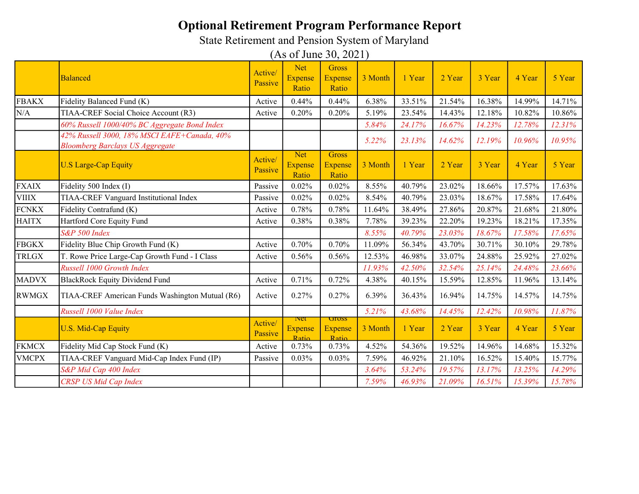State Retirement and Pension System of Maryland

|              | <b>Balanced</b>                                                                       | Active/<br>Passive | <b>Net</b><br><b>Expense</b><br>Ratio | <b>Gross</b><br><b>Expense</b><br>Ratio  | 3 Month | 1 Year | 2 Year | 3 Year | 4 Year | 5 Year |
|--------------|---------------------------------------------------------------------------------------|--------------------|---------------------------------------|------------------------------------------|---------|--------|--------|--------|--------|--------|
| <b>FBAKX</b> | Fidelity Balanced Fund (K)                                                            | Active             | 0.44%                                 | 0.44%                                    | 6.38%   | 33.51% | 21.54% | 16.38% | 14.99% | 14.71% |
| N/A          | TIAA-CREF Social Choice Account (R3)                                                  | Active             | 0.20%                                 | 0.20%                                    | 5.19%   | 23.54% | 14.43% | 12.18% | 10.82% | 10.86% |
|              | 60% Russell 1000/40% BC Aggregate Bond Index                                          |                    |                                       |                                          | 5.84%   | 24.17% | 16.67% | 14.23% | 12.78% | 12.31% |
|              | 42% Russell 3000, 18% MSCI EAFE+Canada, 40%<br><b>Bloomberg Barclays US Aggregate</b> |                    |                                       |                                          | 5.22%   | 23.13% | 14.62% | 12.19% | 10.96% | 10.95% |
|              | <b>U.S Large-Cap Equity</b>                                                           | Active/<br>Passive | <b>Net</b><br>Expense<br>Ratio        | <b>Gross</b><br><b>Expense</b><br>Ratio  | 3 Month | 1 Year | 2 Year | 3 Year | 4 Year | 5 Year |
| <b>FXAIX</b> | Fidelity 500 Index (I)                                                                | Passive            | 0.02%                                 | 0.02%                                    | 8.55%   | 40.79% | 23.02% | 18.66% | 17.57% | 17.63% |
| <b>VIIIX</b> | TIAA-CREF Vanguard Institutional Index                                                | Passive            | 0.02%                                 | 0.02%                                    | 8.54%   | 40.79% | 23.03% | 18.67% | 17.58% | 17.64% |
| <b>FCNKX</b> | Fidelity Contrafund (K)                                                               | Active             | 0.78%                                 | 0.78%                                    | 11.64%  | 38.49% | 27.86% | 20.87% | 21.68% | 21.80% |
| <b>HAITX</b> | Hartford Core Equity Fund                                                             | Active             | 0.38%                                 | 0.38%                                    | 7.78%   | 39.23% | 22.20% | 19.23% | 18.21% | 17.35% |
|              | S&P 500 Index                                                                         |                    |                                       |                                          | 8.55%   | 40.79% | 23.03% | 18.67% | 17.58% | 17.65% |
| <b>FBGKX</b> | Fidelity Blue Chip Growth Fund (K)                                                    | Active             | 0.70%                                 | 0.70%                                    | 11.09%  | 56.34% | 43.70% | 30.71% | 30.10% | 29.78% |
| <b>TRLGX</b> | T. Rowe Price Large-Cap Growth Fund - I Class                                         | Active             | 0.56%                                 | 0.56%                                    | 12.53%  | 46.98% | 33.07% | 24.88% | 25.92% | 27.02% |
|              | Russell 1000 Growth Index                                                             |                    |                                       |                                          | 11.93%  | 42.50% | 32.54% | 25.14% | 24.48% | 23.66% |
| <b>MADVX</b> | <b>BlackRock Equity Dividend Fund</b>                                                 | Active             | 0.71%                                 | 0.72%                                    | 4.38%   | 40.15% | 15.59% | 12.85% | 11.96% | 13.14% |
| <b>RWMGX</b> | TIAA-CREF American Funds Washington Mutual (R6)                                       | Active             | 0.27%                                 | 0.27%                                    | 6.39%   | 36.43% | 16.94% | 14.75% | 14.57% | 14.75% |
|              | Russell 1000 Value Index                                                              |                    |                                       |                                          | 5.21%   | 43.68% | 14.45% | 12.42% | 10.98% | 11.87% |
|              | <b>U.S. Mid-Cap Equity</b>                                                            | Active/<br>Passive | <b>Net</b><br><b>Expense</b><br>Ratio | <b>U</b> ross<br><b>Expense</b><br>Ratio | 3 Month | 1 Year | 2 Year | 3 Year | 4 Year | 5 Year |
| <b>FKMCX</b> | Fidelity Mid Cap Stock Fund (K)                                                       | Active             | 0.73%                                 | 0.73%                                    | 4.52%   | 54.36% | 19.52% | 14.96% | 14.68% | 15.32% |
| <b>VMCPX</b> | TIAA-CREF Vanguard Mid-Cap Index Fund (IP)                                            | Passive            | 0.03%                                 | 0.03%                                    | 7.59%   | 46.92% | 21.10% | 16.52% | 15.40% | 15.77% |
|              | S&P Mid Cap 400 Index                                                                 |                    |                                       |                                          | 3.64%   | 53.24% | 19.57% | 13.17% | 13.25% | 14.29% |
|              | <b>CRSP US Mid Cap Index</b>                                                          |                    |                                       |                                          | 7.59%   | 46.93% | 21.09% | 16.51% | 15.39% | 15.78% |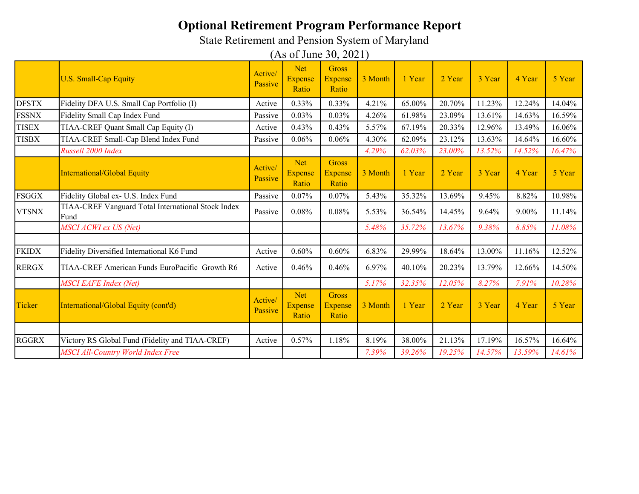State Retirement and Pension System of Maryland

|              | <b>U.S. Small-Cap Equity</b>                                | Active/<br>Passive | <b>Net</b><br><b>Expense</b><br>Ratio | Gross<br><b>Expense</b><br>Ratio        | 3 Month | 1 Year | 2 Year | 3 Year | 4 Year | 5 Year |
|--------------|-------------------------------------------------------------|--------------------|---------------------------------------|-----------------------------------------|---------|--------|--------|--------|--------|--------|
| <b>DFSTX</b> | Fidelity DFA U.S. Small Cap Portfolio (I)                   | Active             | 0.33%                                 | 0.33%                                   | 4.21%   | 65.00% | 20.70% | 11.23% | 12.24% | 14.04% |
| <b>FSSNX</b> | Fidelity Small Cap Index Fund                               | Passive            | 0.03%                                 | 0.03%                                   | 4.26%   | 61.98% | 23.09% | 13.61% | 14.63% | 16.59% |
| <b>TISEX</b> | TIAA-CREF Quant Small Cap Equity (I)                        | Active             | 0.43%                                 | 0.43%                                   | 5.57%   | 67.19% | 20.33% | 12.96% | 13.49% | 16.06% |
| <b>TISBX</b> | TIAA-CREF Small-Cap Blend Index Fund                        | Passive            | 0.06%                                 | 0.06%                                   | 4.30%   | 62.09% | 23.12% | 13.63% | 14.64% | 16.60% |
|              | Russell 2000 Index                                          |                    |                                       |                                         | 4.29%   | 62.03% | 23.00% | 13.52% | 14.52% | 16.47% |
|              | <b>International/Global Equity</b>                          | Active/<br>Passive | <b>Net</b><br><b>Expense</b><br>Ratio | <b>Gross</b><br><b>Expense</b><br>Ratio | 3 Month | 1 Year | 2 Year | 3 Year | 4 Year | 5 Year |
| <b>FSGGX</b> | Fidelity Global ex- U.S. Index Fund                         | Passive            | 0.07%                                 | 0.07%                                   | 5.43%   | 35.32% | 13.69% | 9.45%  | 8.82%  | 10.98% |
| <b>VTSNX</b> | TIAA-CREF Vanguard Total International Stock Index<br>lFund | Passive            | 0.08%                                 | 0.08%                                   | 5.53%   | 36.54% | 14.45% | 9.64%  | 9.00%  | 11.14% |
|              | MSCI ACWI ex US (Net)                                       |                    |                                       |                                         | 5.48%   | 35.72% | 13.67% | 9.38%  | 8.85%  | 11.08% |
|              |                                                             |                    |                                       |                                         |         |        |        |        |        |        |
| <b>FKIDX</b> | Fidelity Diversified International K6 Fund                  | Active             | 0.60%                                 | 0.60%                                   | 6.83%   | 29.99% | 18.64% | 13.00% | 11.16% | 12.52% |
| <b>RERGX</b> | TIAA-CREF American Funds EuroPacific Growth R6              | Active             | 0.46%                                 | 0.46%                                   | 6.97%   | 40.10% | 20.23% | 13.79% | 12.66% | 14.50% |
|              | <b>MSCI EAFE Index (Net)</b>                                |                    |                                       |                                         | 5.17%   | 32.35% | 12.05% | 8.27%  | 7.91%  | 10.28% |
| Ticker       | International/Global Equity (cont'd)                        | Active/<br>Passive | <b>Net</b><br><b>Expense</b><br>Ratio | <b>Gross</b><br><b>Expense</b><br>Ratio | 3 Month | 1 Year | 2 Year | 3 Year | 4 Year | 5 Year |
|              |                                                             |                    |                                       |                                         |         |        |        |        |        |        |
| <b>RGGRX</b> | Victory RS Global Fund (Fidelity and TIAA-CREF)             | Active             | 0.57%                                 | 1.18%                                   | 8.19%   | 38.00% | 21.13% | 17.19% | 16.57% | 16.64% |
|              | <b>MSCI All-Country World Index Free</b>                    |                    |                                       |                                         | 7.39%   | 39.26% | 19.25% | 14.57% | 13.59% | 14.61% |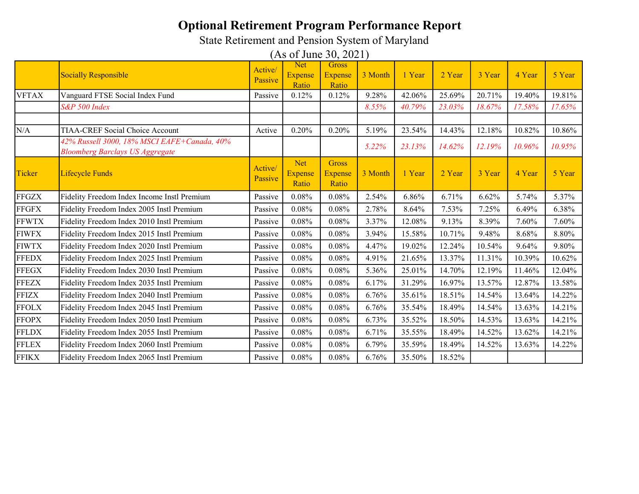State Retirement and Pension System of Maryland

|              | <b>Socially Responsible</b>                                                           | Active/<br>Passive | <b>Net</b><br><b>Expense</b>          | <b>Gross</b><br><b>Expense</b>          | 3 Month | 1 Year | 2 Year | 3 Year | 4 Year | 5 Year |
|--------------|---------------------------------------------------------------------------------------|--------------------|---------------------------------------|-----------------------------------------|---------|--------|--------|--------|--------|--------|
|              |                                                                                       |                    | Ratio                                 | Ratio                                   |         |        |        |        |        |        |
| <b>VFTAX</b> | Vanguard FTSE Social Index Fund                                                       | Passive            | 0.12%                                 | 0.12%                                   | 9.28%   | 42.06% | 25.69% | 20.71% | 19.40% | 19.81% |
|              | S&P 500 Index                                                                         |                    |                                       |                                         | 8.55%   | 40.79% | 23.03% | 18.67% | 17.58% | 17.65% |
|              |                                                                                       |                    |                                       |                                         |         |        |        |        |        |        |
| N/A          | <b>TIAA-CREF Social Choice Account</b>                                                | Active             | 0.20%                                 | 0.20%                                   | 5.19%   | 23.54% | 14.43% | 12.18% | 10.82% | 10.86% |
|              | 42% Russell 3000, 18% MSCI EAFE+Canada, 40%<br><b>Bloomberg Barclays US Aggregate</b> |                    |                                       |                                         | 5.22%   | 23.13% | 14.62% | 12.19% | 10.96% | 10.95% |
| Ticker       | <b>Lifecycle Funds</b>                                                                | Active/<br>Passive | <b>Net</b><br><b>Expense</b><br>Ratio | <b>Gross</b><br><b>Expense</b><br>Ratio | 3 Month | 1 Year | 2 Year | 3 Year | 4 Year | 5 Year |
| <b>FFGZX</b> | Fidelity Freedom Index Income Instl Premium                                           | Passive            | 0.08%                                 | 0.08%                                   | 2.54%   | 6.86%  | 6.71%  | 6.62%  | 5.74%  | 5.37%  |
| <b>FFGFX</b> | Fidelity Freedom Index 2005 Instl Premium                                             | Passive            | 0.08%                                 | 0.08%                                   | 2.78%   | 8.64%  | 7.53%  | 7.25%  | 6.49%  | 6.38%  |
| <b>FFWTX</b> | Fidelity Freedom Index 2010 Instl Premium                                             | Passive            | 0.08%                                 | 0.08%                                   | 3.37%   | 12.08% | 9.13%  | 8.39%  | 7.60%  | 7.60%  |
| <b>FIWFX</b> | Fidelity Freedom Index 2015 Instl Premium                                             | Passive            | 0.08%                                 | 0.08%                                   | 3.94%   | 15.58% | 10.71% | 9.48%  | 8.68%  | 8.80%  |
| <b>FIWTX</b> | Fidelity Freedom Index 2020 Instl Premium                                             | Passive            | 0.08%                                 | 0.08%                                   | 4.47%   | 19.02% | 12.24% | 10.54% | 9.64%  | 9.80%  |
| <b>FFEDX</b> | Fidelity Freedom Index 2025 Instl Premium                                             | Passive            | 0.08%                                 | $0.08\%$                                | 4.91%   | 21.65% | 13.37% | 11.31% | 10.39% | 10.62% |
| <b>FFEGX</b> | Fidelity Freedom Index 2030 Instl Premium                                             | Passive            | 0.08%                                 | 0.08%                                   | 5.36%   | 25.01% | 14.70% | 12.19% | 11.46% | 12.04% |
| <b>FFEZX</b> | Fidelity Freedom Index 2035 Instl Premium                                             | Passive            | 0.08%                                 | 0.08%                                   | 6.17%   | 31.29% | 16.97% | 13.57% | 12.87% | 13.58% |
| <b>FFIZX</b> | Fidelity Freedom Index 2040 Instl Premium                                             | Passive            | 0.08%                                 | 0.08%                                   | 6.76%   | 35.61% | 18.51% | 14.54% | 13.64% | 14.22% |
| <b>FFOLX</b> | Fidelity Freedom Index 2045 Instl Premium                                             | Passive            | 0.08%                                 | 0.08%                                   | 6.76%   | 35.54% | 18.49% | 14.54% | 13.63% | 14.21% |
| <b>FFOPX</b> | Fidelity Freedom Index 2050 Instl Premium                                             | Passive            | 0.08%                                 | 0.08%                                   | 6.73%   | 35.52% | 18.50% | 14.53% | 13.63% | 14.21% |
| <b>FFLDX</b> | Fidelity Freedom Index 2055 Instl Premium                                             | Passive            | 0.08%                                 | 0.08%                                   | 6.71%   | 35.55% | 18.49% | 14.52% | 13.62% | 14.21% |
| <b>FFLEX</b> | Fidelity Freedom Index 2060 Instl Premium                                             | Passive            | 0.08%                                 | 0.08%                                   | 6.79%   | 35.59% | 18.49% | 14.52% | 13.63% | 14.22% |
| <b>FFIKX</b> | Fidelity Freedom Index 2065 Instl Premium                                             | Passive            | 0.08%                                 | 0.08%                                   | 6.76%   | 35.50% | 18.52% |        |        |        |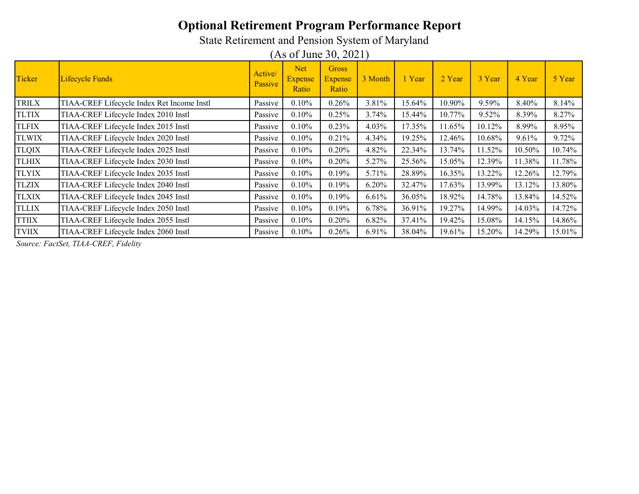State Retirement and Pension System of Maryland

(As of June 30, 2021)

| Ticker       | Lifecycle Funds                            | Active/<br>Passive | <b>Net</b><br><b>Expense</b><br>Ratio | Gross<br><b>Expense</b><br>Ratio | 3 Month | 1 Year | 2 Year | 3 Year | 4 Year | 5 Year |
|--------------|--------------------------------------------|--------------------|---------------------------------------|----------------------------------|---------|--------|--------|--------|--------|--------|
| <b>TRILX</b> | TIAA-CREF Lifecycle Index Ret Income Instl | Passive            | 0.10%                                 | 0.26%                            | 3.81%   | 15.64% | 10.90% | 9.59%  | 8.40%  | 8.14%  |
| <b>TLTIX</b> | TIAA-CREF Lifecycle Index 2010 Instl       | Passive            | $0.10\%$                              | 0.25%                            | 3.74%   | 15.44% | 10.77% | 9.52%  | 8.39%  | 8.27%  |
| <b>TLFIX</b> | TIAA-CREF Lifecycle Index 2015 Instl       | Passive            | 0.10%                                 | 0.23%                            | 4.03%   | 17.35% | 11.65% | 10.12% | 8.99%  | 8.95%  |
| <b>TLWIX</b> | TIAA-CREF Lifecycle Index 2020 Instl       | Passive            | 0.10%                                 | 0.21%                            | 4.34%   | 19.25% | 12.46% | 10.68% | 9.61%  | 9.72%  |
| <b>TLQIX</b> | TIAA-CREF Lifecycle Index 2025 Instl       | Passive            | 0.10%                                 | 0.20%                            | 4.82%   | 22.34% | 13.74% | 11.52% | 10.50% | 10.74% |
| <b>TLHIX</b> | TIAA-CREF Lifecycle Index 2030 Instl       | Passive            | 0.10%                                 | 0.20%                            | 5.27%   | 25.56% | 15.05% | 12.39% | 11.38% | 11.78% |
| <b>TLYIX</b> | TIAA-CREF Lifecycle Index 2035 Instl       | Passive            | 0.10%                                 | 0.19%                            | 5.71%   | 28.89% | 16.35% | 13.22% | 12.26% | 12.79% |
| <b>TLZIX</b> | TIAA-CREF Lifecycle Index 2040 Instl       | Passive            | 0.10%                                 | 0.19%                            | 6.20%   | 32.47% | 17.63% | 13.99% | 13.12% | 13.80% |
| <b>TLXIX</b> | TIAA-CREF Lifecycle Index 2045 Instl       | Passive            | $0.10\%$                              | 0.19%                            | 6.61%   | 36.05% | 18.92% | 14.78% | 13.84% | 14.52% |
| <b>TLLIX</b> | TIAA-CREF Lifecycle Index 2050 Instl       | Passive            | 0.10%                                 | 0.19%                            | 6.78%   | 36.91% | 19.27% | 14.99% | 14.03% | 14.72% |
| <b>TTIIX</b> | TIAA-CREF Lifecycle Index 2055 Instl       | Passive            | $0.10\%$                              | 0.20%                            | 6.82%   | 37.41% | 19.42% | 15.08% | 14.15% | 14.86% |
| <b>TVIIX</b> | TIAA-CREF Lifecycle Index 2060 Instl       | Passive            | 0.10%                                 | 0.26%                            | 6.91%   | 38.04% | 19.61% | 15.20% | 14.29% | 15.01% |

Source: FactSet, TIAA-CREF, Fidelity